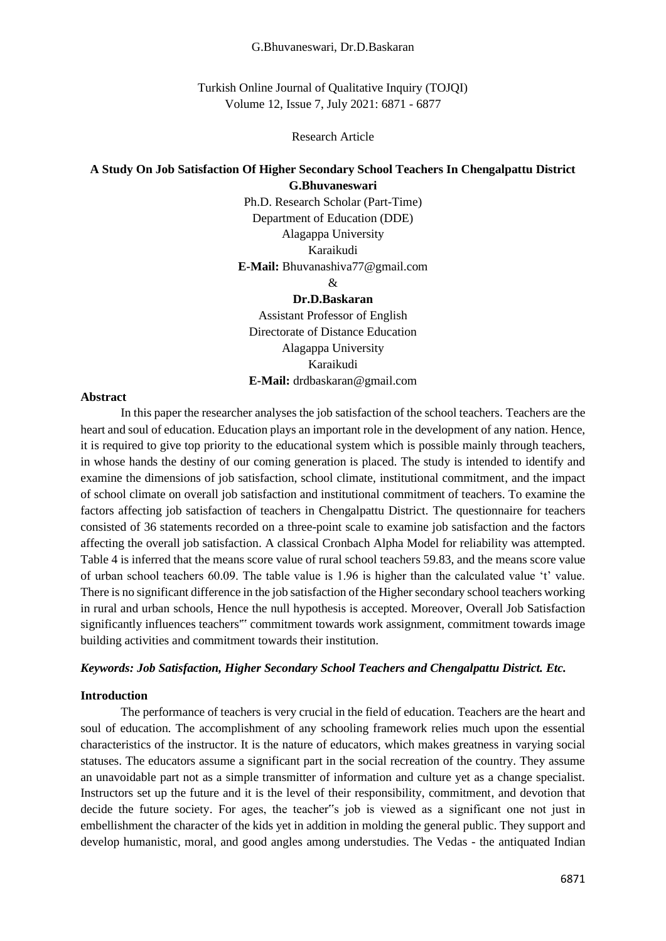#### G.Bhuvaneswari, Dr.D.Baskaran

Turkish Online Journal of Qualitative Inquiry (TOJQI) Volume 12, Issue 7, July 2021: 6871 - 6877

#### Research Article

# **A Study On Job Satisfaction Of Higher Secondary School Teachers In Chengalpattu District G.Bhuvaneswari**

Ph.D. Research Scholar (Part-Time) Department of Education (DDE) Alagappa University Karaikudi **E-Mail:** Bhuvanashiva77@gmail.com

&

#### **Dr.D.Baskaran**

Assistant Professor of English Directorate of Distance Education Alagappa University Karaikudi **E-Mail:** drdbaskaran@gmail.com

#### **Abstract**

In this paper the researcher analyses the job satisfaction of the school teachers. Teachers are the heart and soul of education. Education plays an important role in the development of any nation. Hence, it is required to give top priority to the educational system which is possible mainly through teachers, in whose hands the destiny of our coming generation is placed. The study is intended to identify and examine the dimensions of job satisfaction, school climate, institutional commitment, and the impact of school climate on overall job satisfaction and institutional commitment of teachers. To examine the factors affecting job satisfaction of teachers in Chengalpattu District. The questionnaire for teachers consisted of 36 statements recorded on a three-point scale to examine job satisfaction and the factors affecting the overall job satisfaction. A classical Cronbach Alpha Model for reliability was attempted. Table 4 is inferred that the means score value of rural school teachers 59.83, and the means score value of urban school teachers 60.09. The table value is 1.96 is higher than the calculated value 't' value. There is no significant difference in the job satisfaction of the Higher secondary school teachers working in rural and urban schools, Hence the null hypothesis is accepted. Moreover, Overall Job Satisfaction significantly influences teachers'" commitment towards work assignment, commitment towards image building activities and commitment towards their institution.

### *Keywords: Job Satisfaction, Higher Secondary School Teachers and Chengalpattu District. Etc.*

#### **Introduction**

The performance of teachers is very crucial in the field of education. Teachers are the heart and soul of education. The accomplishment of any schooling framework relies much upon the essential characteristics of the instructor. It is the nature of educators, which makes greatness in varying social statuses. The educators assume a significant part in the social recreation of the country. They assume an unavoidable part not as a simple transmitter of information and culture yet as a change specialist. Instructors set up the future and it is the level of their responsibility, commitment, and devotion that decide the future society. For ages, the teacher"s job is viewed as a significant one not just in embellishment the character of the kids yet in addition in molding the general public. They support and develop humanistic, moral, and good angles among understudies. The Vedas - the antiquated Indian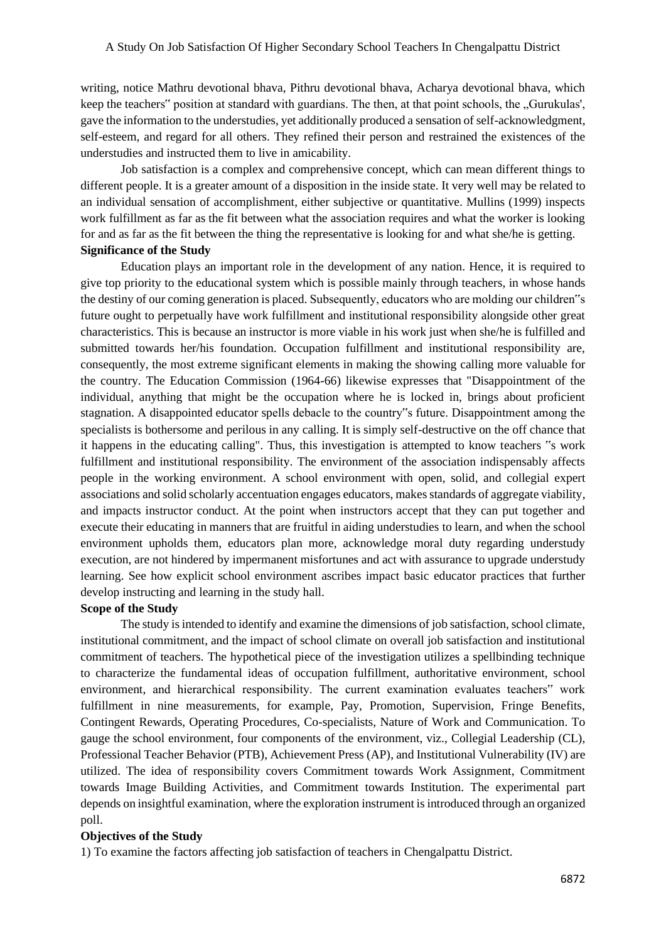writing, notice Mathru devotional bhava, Pithru devotional bhava, Acharya devotional bhava, which keep the teachers" position at standard with guardians. The then, at that point schools, the "Gurukulas', gave the information to the understudies, yet additionally produced a sensation of self-acknowledgment, self-esteem, and regard for all others. They refined their person and restrained the existences of the understudies and instructed them to live in amicability.

Job satisfaction is a complex and comprehensive concept, which can mean different things to different people. It is a greater amount of a disposition in the inside state. It very well may be related to an individual sensation of accomplishment, either subjective or quantitative. Mullins (1999) inspects work fulfillment as far as the fit between what the association requires and what the worker is looking for and as far as the fit between the thing the representative is looking for and what she/he is getting. **Significance of the Study** 

Education plays an important role in the development of any nation. Hence, it is required to give top priority to the educational system which is possible mainly through teachers, in whose hands the destiny of our coming generation is placed. Subsequently, educators who are molding our children"s future ought to perpetually have work fulfillment and institutional responsibility alongside other great characteristics. This is because an instructor is more viable in his work just when she/he is fulfilled and submitted towards her/his foundation. Occupation fulfillment and institutional responsibility are, consequently, the most extreme significant elements in making the showing calling more valuable for the country. The Education Commission (1964-66) likewise expresses that "Disappointment of the individual, anything that might be the occupation where he is locked in, brings about proficient stagnation. A disappointed educator spells debacle to the country"s future. Disappointment among the specialists is bothersome and perilous in any calling. It is simply self-destructive on the off chance that it happens in the educating calling". Thus, this investigation is attempted to know teachers "s work fulfillment and institutional responsibility. The environment of the association indispensably affects people in the working environment. A school environment with open, solid, and collegial expert associations and solid scholarly accentuation engages educators, makes standards of aggregate viability, and impacts instructor conduct. At the point when instructors accept that they can put together and execute their educating in manners that are fruitful in aiding understudies to learn, and when the school environment upholds them, educators plan more, acknowledge moral duty regarding understudy execution, are not hindered by impermanent misfortunes and act with assurance to upgrade understudy learning. See how explicit school environment ascribes impact basic educator practices that further develop instructing and learning in the study hall.

#### **Scope of the Study**

The study is intended to identify and examine the dimensions of job satisfaction, school climate, institutional commitment, and the impact of school climate on overall job satisfaction and institutional commitment of teachers. The hypothetical piece of the investigation utilizes a spellbinding technique to characterize the fundamental ideas of occupation fulfillment, authoritative environment, school environment, and hierarchical responsibility. The current examination evaluates teachers" work fulfillment in nine measurements, for example, Pay, Promotion, Supervision, Fringe Benefits, Contingent Rewards, Operating Procedures, Co-specialists, Nature of Work and Communication. To gauge the school environment, four components of the environment, viz., Collegial Leadership (CL), Professional Teacher Behavior (PTB), Achievement Press (AP), and Institutional Vulnerability (IV) are utilized. The idea of responsibility covers Commitment towards Work Assignment, Commitment towards Image Building Activities, and Commitment towards Institution. The experimental part depends on insightful examination, where the exploration instrument is introduced through an organized poll.

#### **Objectives of the Study**

1) To examine the factors affecting job satisfaction of teachers in Chengalpattu District.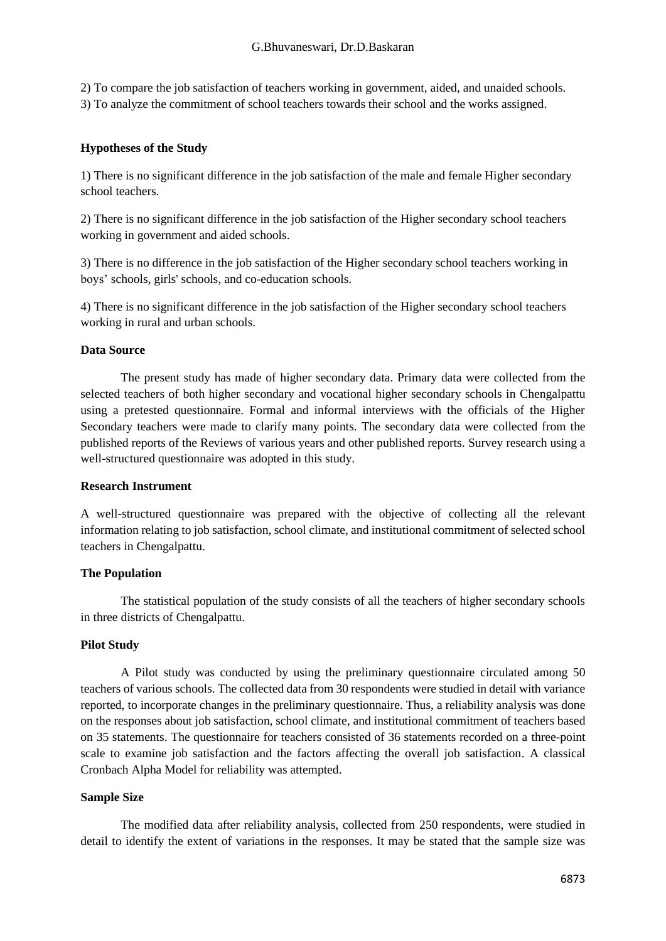2) To compare the job satisfaction of teachers working in government, aided, and unaided schools. 3) To analyze the commitment of school teachers towards their school and the works assigned.

# **Hypotheses of the Study**

1) There is no significant difference in the job satisfaction of the male and female Higher secondary school teachers.

2) There is no significant difference in the job satisfaction of the Higher secondary school teachers working in government and aided schools.

3) There is no difference in the job satisfaction of the Higher secondary school teachers working in boys' schools, girls' schools, and co-education schools.

4) There is no significant difference in the job satisfaction of the Higher secondary school teachers working in rural and urban schools.

### **Data Source**

The present study has made of higher secondary data. Primary data were collected from the selected teachers of both higher secondary and vocational higher secondary schools in Chengalpattu using a pretested questionnaire. Formal and informal interviews with the officials of the Higher Secondary teachers were made to clarify many points. The secondary data were collected from the published reports of the Reviews of various years and other published reports. Survey research using a well-structured questionnaire was adopted in this study.

### **Research Instrument**

A well-structured questionnaire was prepared with the objective of collecting all the relevant information relating to job satisfaction, school climate, and institutional commitment of selected school teachers in Chengalpattu.

### **The Population**

The statistical population of the study consists of all the teachers of higher secondary schools in three districts of Chengalpattu.

### **Pilot Study**

A Pilot study was conducted by using the preliminary questionnaire circulated among 50 teachers of various schools. The collected data from 30 respondents were studied in detail with variance reported, to incorporate changes in the preliminary questionnaire. Thus, a reliability analysis was done on the responses about job satisfaction, school climate, and institutional commitment of teachers based on 35 statements. The questionnaire for teachers consisted of 36 statements recorded on a three-point scale to examine job satisfaction and the factors affecting the overall job satisfaction. A classical Cronbach Alpha Model for reliability was attempted.

### **Sample Size**

The modified data after reliability analysis, collected from 250 respondents, were studied in detail to identify the extent of variations in the responses. It may be stated that the sample size was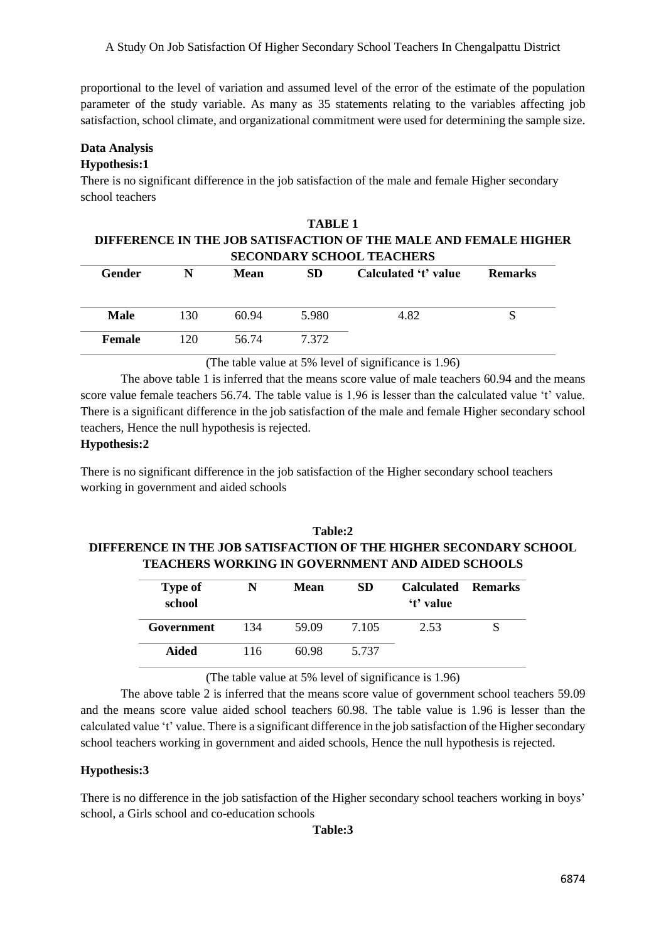A Study On Job Satisfaction Of Higher Secondary School Teachers In Chengalpattu District

proportional to the level of variation and assumed level of the error of the estimate of the population parameter of the study variable. As many as 35 statements relating to the variables affecting job satisfaction, school climate, and organizational commitment were used for determining the sample size.

### **Data Analysis**

# **Hypothesis:1**

There is no significant difference in the job satisfaction of the male and female Higher secondary school teachers

| TARLE <sub>1</sub><br>DIFFERENCE IN THE JOB SATISFACTION OF THE MALE AND FEMALE HIGHER<br><b>SECONDARY SCHOOL TEACHERS</b> |     |       |       |                      |                |  |  |
|----------------------------------------------------------------------------------------------------------------------------|-----|-------|-------|----------------------|----------------|--|--|
| Gender                                                                                                                     |     | Mean  | SD.   | Calculated 't' value | <b>Remarks</b> |  |  |
| <b>Male</b>                                                                                                                | 130 | 60.94 | 5.980 | 4.82                 |                |  |  |
| Female                                                                                                                     |     | 56.74 |       |                      |                |  |  |

(The table value at 5% level of significance is 1.96)

The above table 1 is inferred that the means score value of male teachers 60.94 and the means score value female teachers 56.74. The table value is 1.96 is lesser than the calculated value 't' value. There is a significant difference in the job satisfaction of the male and female Higher secondary school teachers, Hence the null hypothesis is rejected.

### **Hypothesis:2**

There is no significant difference in the job satisfaction of the Higher secondary school teachers working in government and aided schools

# **Table:2 DIFFERENCE IN THE JOB SATISFACTION OF THE HIGHER SECONDARY SCHOOL TEACHERS WORKING IN GOVERNMENT AND AIDED SCHOOLS**

| <b>Type of</b><br>school | N   | Mean  | SD.   | <b>Calculated Remarks</b><br>'t' value |  |
|--------------------------|-----|-------|-------|----------------------------------------|--|
| Government               | 134 | 59.09 | 7.105 | 2.53                                   |  |
| Aided                    | 116 | 60.98 | 5.737 |                                        |  |

(The table value at 5% level of significance is 1.96)

The above table 2 is inferred that the means score value of government school teachers 59.09 and the means score value aided school teachers 60.98. The table value is 1.96 is lesser than the calculated value 't' value. There is a significant difference in the job satisfaction of the Higher secondary school teachers working in government and aided schools, Hence the null hypothesis is rejected.

### **Hypothesis:3**

There is no difference in the job satisfaction of the Higher secondary school teachers working in boys' school, a Girls school and co-education schools

### **Table:3**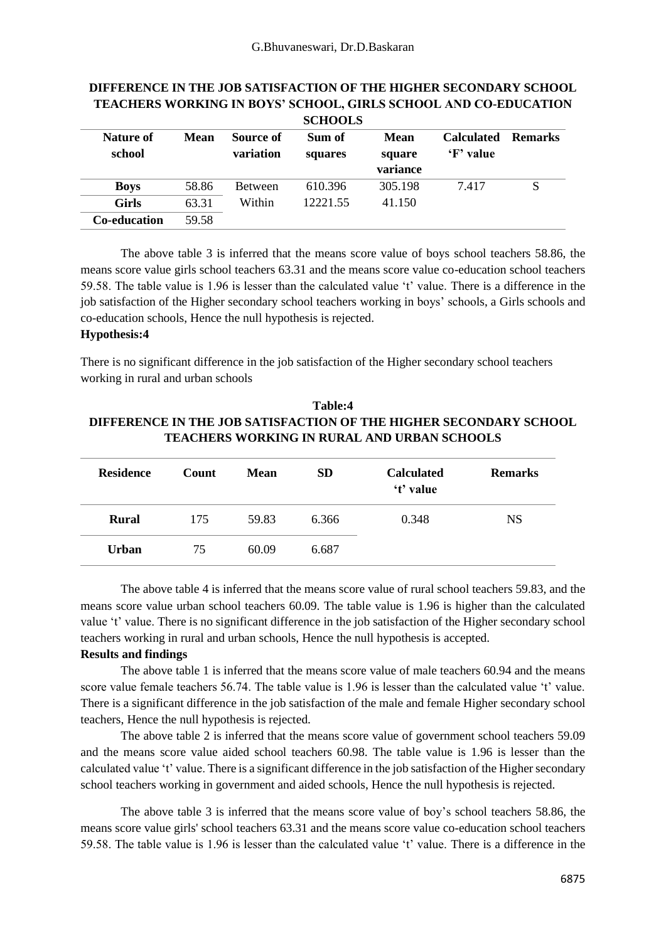|                     |             |                        | oviivvid          |                |                                |                |
|---------------------|-------------|------------------------|-------------------|----------------|--------------------------------|----------------|
| Nature of<br>school | <b>Mean</b> | Source of<br>variation | Sum of<br>squares | Mean<br>square | <b>Calculated</b><br>'F' value | <b>Remarks</b> |
|                     |             |                        |                   | variance       |                                |                |
| <b>Boys</b>         | 58.86       | <b>Between</b>         | 610.396           | 305.198        | 7.417                          | S              |
| <b>Girls</b>        | 63.31       | Within                 | 12221.55          | 41.150         |                                |                |
| <b>Co-education</b> | 59.58       |                        |                   |                |                                |                |

#### **DIFFERENCE IN THE JOB SATISFACTION OF THE HIGHER SECONDARY SCHOOL TEACHERS WORKING IN BOYS' SCHOOL, GIRLS SCHOOL AND CO-EDUCATION SCHOOLS**

The above table 3 is inferred that the means score value of boys school teachers 58.86, the means score value girls school teachers 63.31 and the means score value co-education school teachers 59.58. The table value is 1.96 is lesser than the calculated value 't' value. There is a difference in the job satisfaction of the Higher secondary school teachers working in boys' schools, a Girls schools and co-education schools, Hence the null hypothesis is rejected.

### **Hypothesis:4**

There is no significant difference in the job satisfaction of the Higher secondary school teachers working in rural and urban schools

# **Table:4 DIFFERENCE IN THE JOB SATISFACTION OF THE HIGHER SECONDARY SCHOOL TEACHERS WORKING IN RURAL AND URBAN SCHOOLS**

| <b>Residence</b> | Count | <b>Mean</b> | <b>SD</b> | <b>Calculated</b><br>'t' value | <b>Remarks</b> |
|------------------|-------|-------------|-----------|--------------------------------|----------------|
| <b>Rural</b>     | 175   | 59.83       | 6.366     | 0.348                          | <b>NS</b>      |
| <b>Urban</b>     | 75    | 60.09       | 6.687     |                                |                |

The above table 4 is inferred that the means score value of rural school teachers 59.83, and the means score value urban school teachers 60.09. The table value is 1.96 is higher than the calculated value 't' value. There is no significant difference in the job satisfaction of the Higher secondary school teachers working in rural and urban schools, Hence the null hypothesis is accepted.

### **Results and findings**

The above table 1 is inferred that the means score value of male teachers 60.94 and the means score value female teachers 56.74. The table value is 1.96 is lesser than the calculated value 't' value. There is a significant difference in the job satisfaction of the male and female Higher secondary school teachers, Hence the null hypothesis is rejected.

The above table 2 is inferred that the means score value of government school teachers 59.09 and the means score value aided school teachers 60.98. The table value is 1.96 is lesser than the calculated value 't' value. There is a significant difference in the job satisfaction of the Higher secondary school teachers working in government and aided schools, Hence the null hypothesis is rejected.

The above table 3 is inferred that the means score value of boy's school teachers 58.86, the means score value girls' school teachers 63.31 and the means score value co-education school teachers 59.58. The table value is 1.96 is lesser than the calculated value 't' value. There is a difference in the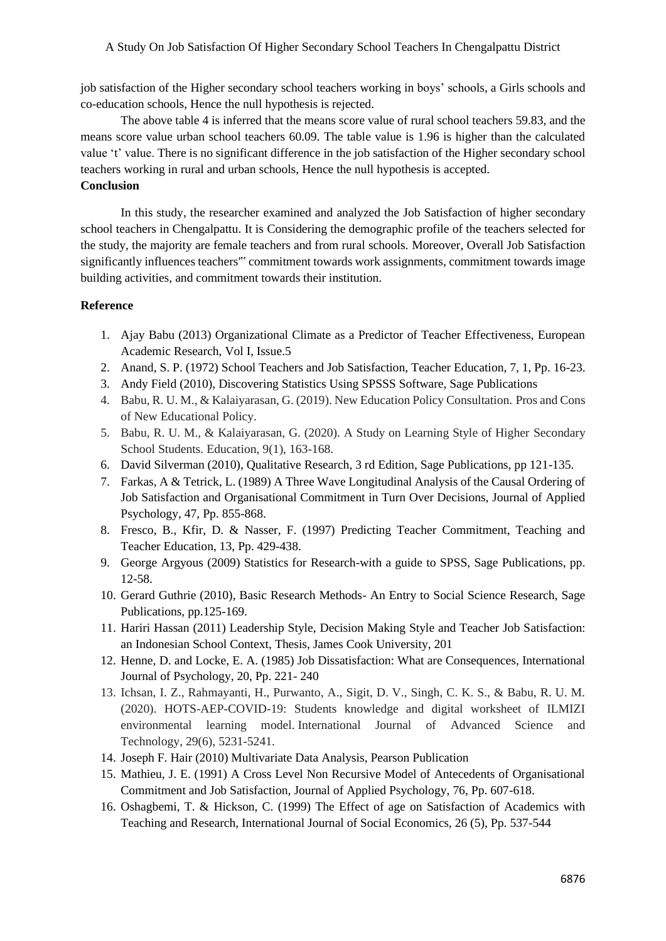#### A Study On Job Satisfaction Of Higher Secondary School Teachers In Chengalpattu District

job satisfaction of the Higher secondary school teachers working in boys' schools, a Girls schools and co-education schools, Hence the null hypothesis is rejected.

The above table 4 is inferred that the means score value of rural school teachers 59.83, and the means score value urban school teachers 60.09. The table value is 1.96 is higher than the calculated value 't' value. There is no significant difference in the job satisfaction of the Higher secondary school teachers working in rural and urban schools, Hence the null hypothesis is accepted.

# **Conclusion**

In this study, the researcher examined and analyzed the Job Satisfaction of higher secondary school teachers in Chengalpattu. It is Considering the demographic profile of the teachers selected for the study, the majority are female teachers and from rural schools. Moreover, Overall Job Satisfaction significantly influences teachers'" commitment towards work assignments, commitment towards image building activities, and commitment towards their institution.

#### **Reference**

- 1. Ajay Babu (2013) Organizational Climate as a Predictor of Teacher Effectiveness, European Academic Research, Vol I, Issue.5
- 2. Anand, S. P. (1972) School Teachers and Job Satisfaction, Teacher Education, 7, 1, Pp. 16-23.
- 3. Andy Field (2010), Discovering Statistics Using SPSSS Software, Sage Publications
- 4. Babu, R. U. M., & Kalaiyarasan, G. (2019). New Education Policy Consultation. Pros and Cons of New Educational Policy.
- 5. Babu, R. U. M., & Kalaiyarasan, G. (2020). A Study on Learning Style of Higher Secondary School Students. Education, 9(1), 163-168.
- 6. David Silverman (2010), Qualitative Research, 3 rd Edition, Sage Publications, pp 121-135.
- 7. Farkas, A & Tetrick, L. (1989) A Three Wave Longitudinal Analysis of the Causal Ordering of Job Satisfaction and Organisational Commitment in Turn Over Decisions, Journal of Applied Psychology, 47, Pp. 855-868.
- 8. Fresco, B., Kfir, D. & Nasser, F. (1997) Predicting Teacher Commitment, Teaching and Teacher Education, 13, Pp. 429-438.
- 9. George Argyous (2009) Statistics for Research-with a guide to SPSS, Sage Publications, pp. 12-58.
- 10. Gerard Guthrie (2010), Basic Research Methods- An Entry to Social Science Research, Sage Publications, pp.125-169.
- 11. Hariri Hassan (2011) Leadership Style, Decision Making Style and Teacher Job Satisfaction: an Indonesian School Context, Thesis, James Cook University, 201
- 12. Henne, D. and Locke, E. A. (1985) Job Dissatisfaction: What are Consequences, International Journal of Psychology, 20, Pp. 221- 240
- 13. Ichsan, I. Z., Rahmayanti, H., Purwanto, A., Sigit, D. V., Singh, C. K. S., & Babu, R. U. M. (2020). HOTS-AEP-COVID-19: Students knowledge and digital worksheet of ILMIZI environmental learning model. International Journal of Advanced Science and Technology, 29(6), 5231-5241.
- 14. Joseph F. Hair (2010) Multivariate Data Analysis, Pearson Publication
- 15. Mathieu, J. E. (1991) A Cross Level Non Recursive Model of Antecedents of Organisational Commitment and Job Satisfaction, Journal of Applied Psychology, 76, Pp. 607-618.
- 16. Oshagbemi, T. & Hickson, C. (1999) The Effect of age on Satisfaction of Academics with Teaching and Research, International Journal of Social Economics, 26 (5), Pp. 537-544